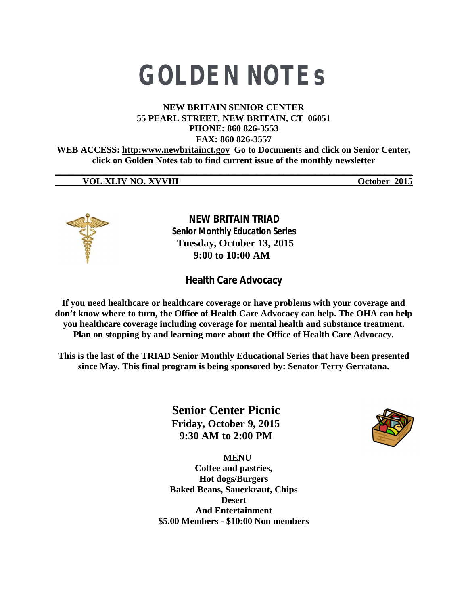# **GOLDEN NOTEs**

#### **NEW BRITAIN SENIOR CENTER 55 PEARL STREET, NEW BRITAIN, CT 06051 PHONE: 860 826-3553 FAX: 860 826-3557**

**WEB ACCESS: http:www.newbritainct.gov Go to Documents and click on Senior Center, click on Golden Notes tab to find current issue of the monthly newsletter** 

**\_\_\_\_\_\_\_\_\_\_\_\_\_\_\_\_\_\_\_\_\_\_\_\_\_\_\_\_\_\_\_\_\_\_\_\_\_\_\_\_\_\_\_\_\_\_\_\_\_\_\_\_\_\_\_\_\_\_\_\_\_\_\_\_\_\_\_\_\_\_\_\_\_\_\_\_\_\_**

# **VOL XLIV NO. XVVIII October 2015**



 **NEW BRITAIN TRIAD Senior Monthly Education Series Tuesday, October 13, 2015 9:00 to 10:00 AM**

**Health Care Advocacy** 

**If you need healthcare or healthcare coverage or have problems with your coverage and don't know where to turn, the Office of Health Care Advocacy can help. The OHA can help you healthcare coverage including coverage for mental health and substance treatment. Plan on stopping by and learning more about the Office of Health Care Advocacy.**

**This is the last of the TRIAD Senior Monthly Educational Series that have been presented since May. This final program is being sponsored by: Senator Terry Gerratana.**

> **Senior Center Picnic Friday, October 9, 2015 9:30 AM to 2:00 PM**

 **MENU Coffee and pastries, Hot dogs/Burgers Baked Beans, Sauerkraut, Chips Desert And Entertainment \$5.00 Members - \$10:00 Non members**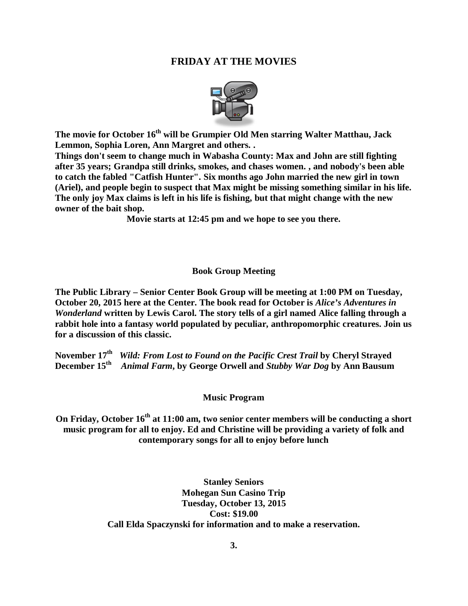### **FRIDAY AT THE MOVIES**



**The movie for October 16th will be Grumpier Old Men starring Walter Matthau, Jack Lemmon, Sophia Loren, Ann Margret and others. .** 

**Things don't seem to change much in Wabasha County: Max and John are still fighting after 35 years; Grandpa still drinks, smokes, and chases women. , and nobody's been able to catch the fabled "Catfish Hunter". Six months ago John married the new girl in town (Ariel), and people begin to suspect that Max might be missing something similar in his life. The only joy Max claims is left in his life is fishing, but that might change with the new owner of the bait shop.**

**Movie starts at 12:45 pm and we hope to see you there.**

#### **Book Group Meeting**

**The Public Library – Senior Center Book Group will be meeting at 1:00 PM on Tuesday, October 20, 2015 here at the Center. The book read for October is** *Alice's Adventures in Wonderland* **written by Lewis Carol. The story tells of a girl named Alice falling through a rabbit hole into a fantasy world populated by peculiar, anthropomorphic creatures. Join us for a discussion of this classic.** 

**November 17th** *Wild: From Lost to Found on the Pacific Crest Trail* **by Cheryl Strayed December 15th** *Animal Farm***, by George Orwell and** *Stubby War Dog* **by Ann Bausum**

#### **Music Program**

**On Friday, October 16th at 11:00 am, two senior center members will be conducting a short music program for all to enjoy. Ed and Christine will be providing a variety of folk and contemporary songs for all to enjoy before lunch**

> **Stanley Seniors Mohegan Sun Casino Trip Tuesday, October 13, 2015 Cost: \$19.00 Call Elda Spaczynski for information and to make a reservation.**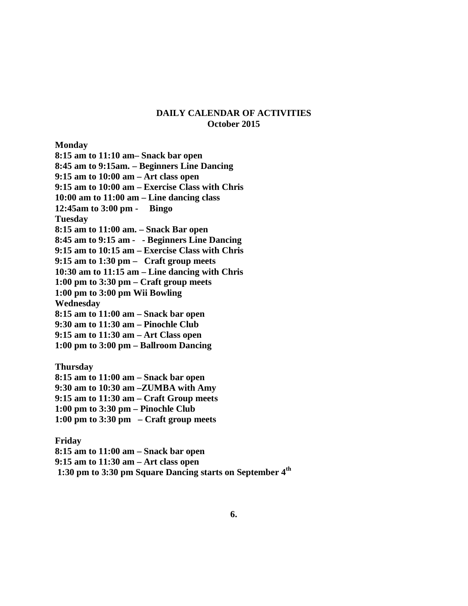#### **DAILY CALENDAR OF ACTIVITIES October 2015**

**Monday**

**8:15 am to 11:10 am– Snack bar open**

**8:45 am to 9:15am. – Beginners Line Dancing** 

**9:15 am to 10:00 am – Art class open**

**9:15 am to 10:00 am – Exercise Class with Chris**

**10:00 am to 11:00 am – Line dancing class**

**12:45am to 3:00 pm - Bingo**

**Tuesday**

**8:15 am to 11:00 am. – Snack Bar open**

**8:45 am to 9:15 am - - Beginners Line Dancing** 

**9:15 am to 10:15 am – Exercise Class with Chris**

**9:15 am to 1:30 pm – Craft group meets**

**10:30 am to 11:15 am – Line dancing with Chris**

**1:00 pm to 3:30 pm – Craft group meets**

**1:00 pm to 3:00 pm Wii Bowling**

**Wednesday**

**8:15 am to 11:00 am – Snack bar open**

**9:30 am to 11:30 am – Pinochle Club**

**9:15 am to 11:30 am – Art Class open**

**1:00 pm to 3:00 pm – Ballroom Dancing**

**Thursday 8:15 am to 11:00 am – Snack bar open**

**9:30 am to 10:30 am –ZUMBA with Amy**

**9:15 am to 11:30 am – Craft Group meets**

**1:00 pm to 3:30 pm – Pinochle Club**

**1:00 pm to 3:30 pm – Craft group meets**

**Friday**

**8:15 am to 11:00 am – Snack bar open**

**9:15 am to 11:30 am – Art class open**

**1:30 pm to 3:30 pm Square Dancing starts on September 4th**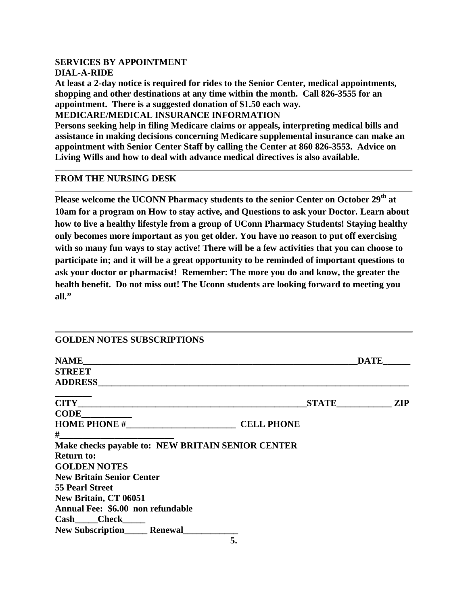# **SERVICES BY APPOINTMENT DIAL-A-RIDE**

**At least a 2-day notice is required for rides to the Senior Center, medical appointments, shopping and other destinations at any time within the month. Call 826-3555 for an appointment. There is a suggested donation of \$1.50 each way.**

**MEDICARE/MEDICAL INSURANCE INFORMATION**

**Persons seeking help in filing Medicare claims or appeals, interpreting medical bills and assistance in making decisions concerning Medicare supplemental insurance can make an appointment with Senior Center Staff by calling the Center at 860 826-3553. Advice on Living Wills and how to deal with advance medical directives is also available.**

#### **FROM THE NURSING DESK**

**Please welcome the UCONN Pharmacy students to the senior Center on October 29th at 10am for a program on How to stay active, and Questions to ask your Doctor. Learn about how to live a healthy lifestyle from a group of UConn Pharmacy Students! Staying healthy only becomes more important as you get older. You have no reason to put off exercising with so many fun ways to stay active! There will be a few activities that you can choose to participate in; and it will be a great opportunity to be reminded of important questions to ask your doctor or pharmacist! Remember: The more you do and know, the greater the health benefit. Do not miss out! The Uconn students are looking forward to meeting you all."**

| <b>GOLDEN NOTES SUBSCRIPTIONS</b>                 |                                                             |             |  |
|---------------------------------------------------|-------------------------------------------------------------|-------------|--|
| <b>NAME</b>                                       | <u> 1989 - Johann Stoff, amerikansk politiker (d. 1989)</u> | <b>DATE</b> |  |
| <b>STREET</b>                                     |                                                             |             |  |
| <b>ADDRESS</b>                                    |                                                             |             |  |
|                                                   |                                                             | STATE ZIP   |  |
| <b>CODE</b>                                       |                                                             |             |  |
|                                                   | <b>CELL PHONE</b>                                           |             |  |
| $#$ and $#$                                       |                                                             |             |  |
| Make checks payable to: NEW BRITAIN SENIOR CENTER |                                                             |             |  |
| <b>Return to:</b>                                 |                                                             |             |  |
| <b>GOLDEN NOTES</b>                               |                                                             |             |  |
| <b>New Britain Senior Center</b>                  |                                                             |             |  |
| <b>55 Pearl Street</b>                            |                                                             |             |  |
| <b>New Britain, CT 06051</b>                      |                                                             |             |  |
| Annual Fee: \$6.00 non refundable                 |                                                             |             |  |
| $Cash$ $Check$ $)$                                |                                                             |             |  |
| <b>New Subscription Renewal</b>                   |                                                             |             |  |
|                                                   | 5.                                                          |             |  |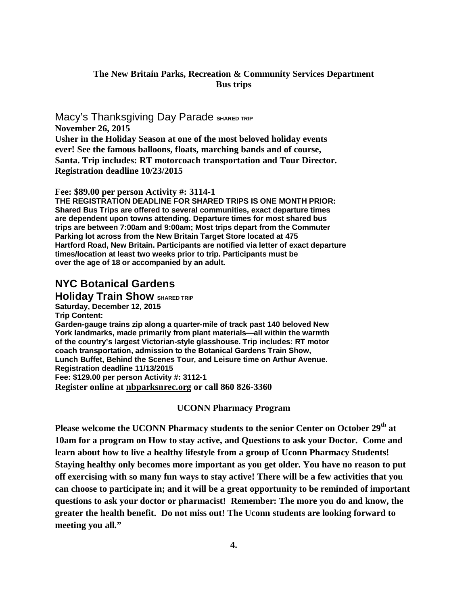### **The New Britain Parks, Recreation & Community Services Department Bus trips**

**Macy's Thanksgiving Day Parade SHARED TRIP November 26, 2015 Usher in the Holiday Season at one of the most beloved holiday events ever! See the famous balloons, floats, marching bands and of course, Santa. Trip includes: RT motorcoach transportation and Tour Director. Registration deadline 10/23/2015**

**Fee: \$89.00 per person Activity #: 3114-1**

**THE REGISTRATION DEADLINE FOR SHARED TRIPS IS ONE MONTH PRIOR: Shared Bus Trips are offered to several communities, exact departure times are dependent upon towns attending. Departure times for most shared bus trips are between 7:00am and 9:00am; Most trips depart from the Commuter Parking lot across from the New Britain Target Store located at 475 Hartford Road, New Britain. Participants are notified via letter of exact departure times/location at least two weeks prior to trip. Participants must be over the age of 18 or accompanied by an adult.**

# **NYC Botanical Gardens**

**Holiday Train Show SHARED TRIP Saturday, December 12, 2015 Trip Content: Garden-gauge trains zip along a quarter-mile of track past 140 beloved New York landmarks, made primarily from plant materials—all within the warmth of the country's largest Victorian-style glasshouse. Trip includes: RT motor coach transportation, admission to the Botanical Gardens Train Show, Lunch Buffet, Behind the Scenes Tour, and Leisure time on Arthur Avenue. Registration deadline 11/13/2015 Fee: \$129.00 per person Activity #: 3112-1 Register online at nbparksnrec.org or call 860 826-3360**

#### **UCONN Pharmacy Program**

**Please welcome the UCONN Pharmacy students to the senior Center on October 29th at 10am for a program on How to stay active, and Questions to ask your Doctor. Come and learn about how to live a healthy lifestyle from a group of Uconn Pharmacy Students! Staying healthy only becomes more important as you get older. You have no reason to put off exercising with so many fun ways to stay active! There will be a few activities that you can choose to participate in; and it will be a great opportunity to be reminded of important questions to ask your doctor or pharmacist! Remember: The more you do and know, the greater the health benefit. Do not miss out! The Uconn students are looking forward to meeting you all."**